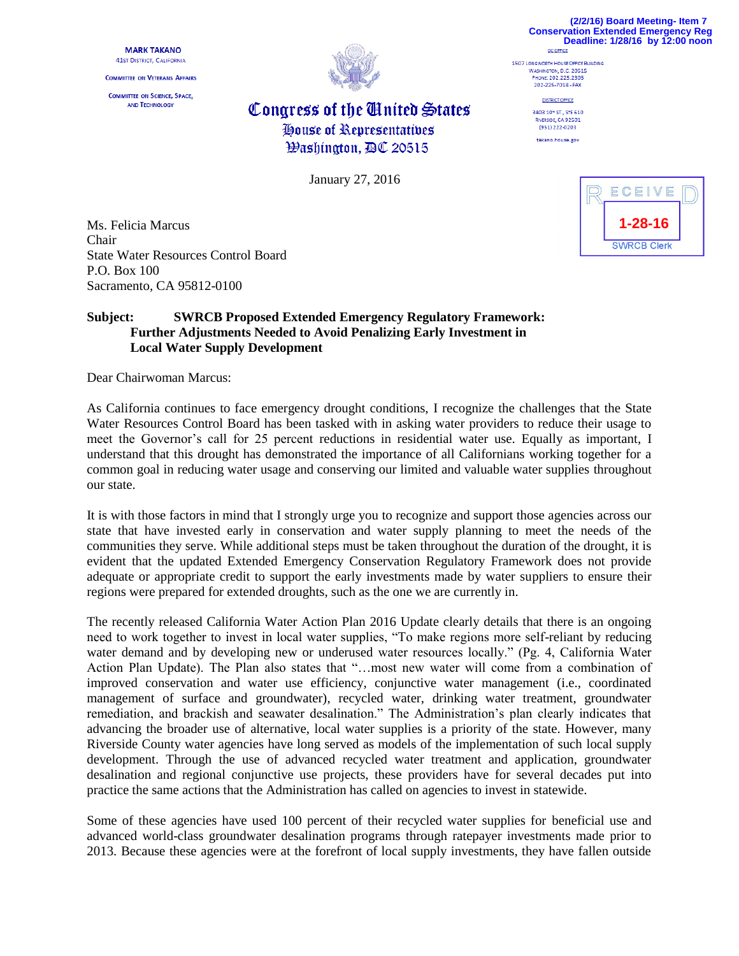**MARK TAKANO 41st DISTRICT, CALIFORNIA** 

**COMMITTEE ON VETERANS AFFAIRS** 

**COMMITTEE ON SCIENCE, SPACE,** AND TECHNOLOGY



## Congress of the Cinited States House of Representatives **Washington, AC 20515**

January 27, 2016

| <b>Conservation Extended Emergency Reg</b><br>Deadline: 1/28/16 by 12:00 noon |  |
|-------------------------------------------------------------------------------|--|
| DC OFFICE                                                                     |  |
| 1507 LONGWORTH HOUSE OFFICE BUILDING                                          |  |
| WASHINGTON, D.C. 20515                                                        |  |
| PHONE: 202.225.2305                                                           |  |
| 202-225-7018 - FAX                                                            |  |
| <b>DISTRICT OFFICE</b>                                                        |  |
| 3403 10* ST., STE 610                                                         |  |
| RIVERSIDE, CA 92501                                                           |  |
| (951) 222-0202                                                                |  |

takano.house.gov



**(2/2/16) Board Meeting- Item 7**

Ms. Felicia Marcus Chair State Water Resources Control Board P.O. Box 100 Sacramento, CA 95812-0100

## **Subject: SWRCB Proposed Extended Emergency Regulatory Framework: Further Adjustments Needed to Avoid Penalizing Early Investment in Local Water Supply Development**

Dear Chairwoman Marcus:

As California continues to face emergency drought conditions, I recognize the challenges that the State Water Resources Control Board has been tasked with in asking water providers to reduce their usage to meet the Governor's call for 25 percent reductions in residential water use. Equally as important, I understand that this drought has demonstrated the importance of all Californians working together for a common goal in reducing water usage and conserving our limited and valuable water supplies throughout our state.

It is with those factors in mind that I strongly urge you to recognize and support those agencies across our state that have invested early in conservation and water supply planning to meet the needs of the communities they serve. While additional steps must be taken throughout the duration of the drought, it is evident that the updated Extended Emergency Conservation Regulatory Framework does not provide adequate or appropriate credit to support the early investments made by water suppliers to ensure their regions were prepared for extended droughts, such as the one we are currently in.

The recently released California Water Action Plan 2016 Update clearly details that there is an ongoing need to work together to invest in local water supplies, "To make regions more self-reliant by reducing water demand and by developing new or underused water resources locally." (Pg. 4, California Water Action Plan Update). The Plan also states that "…most new water will come from a combination of improved conservation and water use efficiency, conjunctive water management (i.e., coordinated management of surface and groundwater), recycled water, drinking water treatment, groundwater remediation, and brackish and seawater desalination." The Administration's plan clearly indicates that advancing the broader use of alternative, local water supplies is a priority of the state. However, many Riverside County water agencies have long served as models of the implementation of such local supply development. Through the use of advanced recycled water treatment and application, groundwater desalination and regional conjunctive use projects, these providers have for several decades put into practice the same actions that the Administration has called on agencies to invest in statewide.

Some of these agencies have used 100 percent of their recycled water supplies for beneficial use and advanced world-class groundwater desalination programs through ratepayer investments made prior to 2013. Because these agencies were at the forefront of local supply investments, they have fallen outside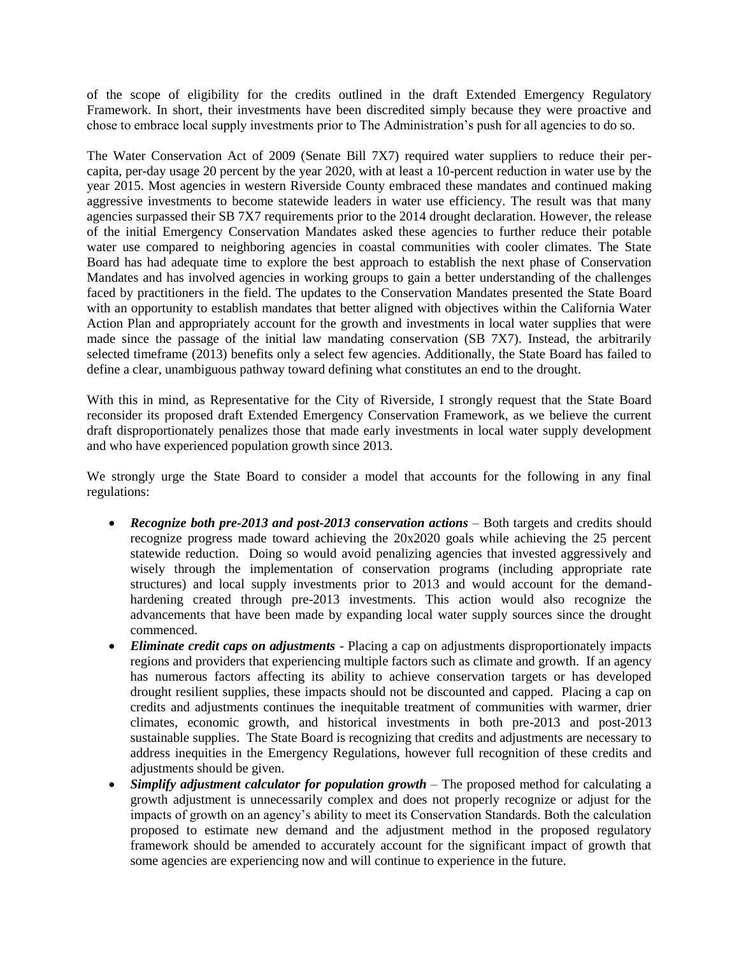of the scope of eligibility for the credits outlined in the draft Extended Emergency Regulatory Framework. In short, their investments have been discredited simply because they were proactive and chose to embrace local supply investments prior to The Administration's push for all agencies to do so.

The Water Conservation Act of 2009 (Senate Bill 7X7) required water suppliers to reduce their percapita, per-day usage 20 percent by the year 2020, with at least a 10-percent reduction in water use by the year 2015. Most agencies in western Riverside County embraced these mandates and continued making aggressive investments to become statewide leaders in water use efficiency. The result was that many agencies surpassed their SB 7X7 requirements prior to the 2014 drought declaration. However, the release of the initial Emergency Conservation Mandates asked these agencies to further reduce their potable water use compared to neighboring agencies in coastal communities with cooler climates. The State Board has had adequate time to explore the best approach to establish the next phase of Conservation Mandates and has involved agencies in working groups to gain a better understanding of the challenges faced by practitioners in the field. The updates to the Conservation Mandates presented the State Board with an opportunity to establish mandates that better aligned with objectives within the California Water Action Plan and appropriately account for the growth and investments in local water supplies that were made since the passage of the initial law mandating conservation (SB 7X7). Instead, the arbitrarily selected timeframe (2013) benefits only a select few agencies. Additionally, the State Board has failed to define a clear, unambiguous pathway toward defining what constitutes an end to the drought.

With this in mind, as Representative for the City of Riverside, I strongly request that the State Board reconsider its proposed draft Extended Emergency Conservation Framework, as we believe the current draft disproportionately penalizes those that made early investments in local water supply development and who have experienced population growth since 2013.

We strongly urge the State Board to consider a model that accounts for the following in any final regulations:

- *Recognize both pre-2013 and post-2013 conservation actions* Both targets and credits should recognize progress made toward achieving the 20x2020 goals while achieving the 25 percent statewide reduction. Doing so would avoid penalizing agencies that invested aggressively and wisely through the implementation of conservation programs (including appropriate rate structures) and local supply investments prior to 2013 and would account for the demandhardening created through pre-2013 investments. This action would also recognize the advancements that have been made by expanding local water supply sources since the drought commenced.
- *Eliminate credit caps on adjustments*  Placing a cap on adjustments disproportionately impacts regions and providers that experiencing multiple factors such as climate and growth. If an agency has numerous factors affecting its ability to achieve conservation targets or has developed drought resilient supplies, these impacts should not be discounted and capped. Placing a cap on credits and adjustments continues the inequitable treatment of communities with warmer, drier climates, economic growth, and historical investments in both pre-2013 and post-2013 sustainable supplies. The State Board is recognizing that credits and adjustments are necessary to address inequities in the Emergency Regulations, however full recognition of these credits and adjustments should be given.
- *Simplify adjustment calculator for population growth* The proposed method for calculating a growth adjustment is unnecessarily complex and does not properly recognize or adjust for the impacts of growth on an agency's ability to meet its Conservation Standards. Both the calculation proposed to estimate new demand and the adjustment method in the proposed regulatory framework should be amended to accurately account for the significant impact of growth that some agencies are experiencing now and will continue to experience in the future.